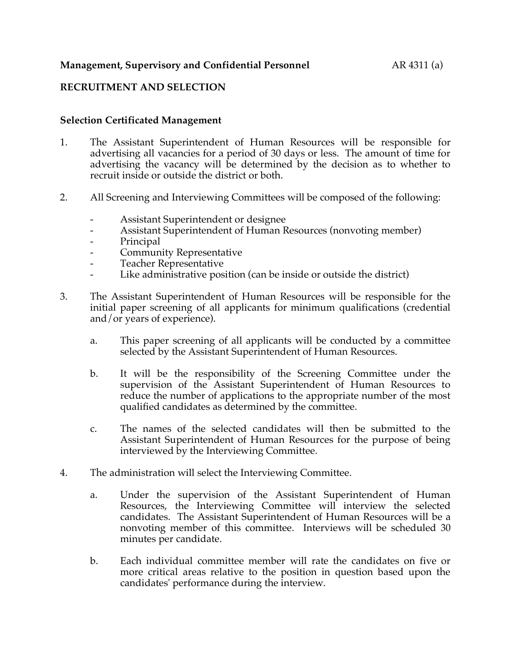# **Management, Supervisory and Confidential Personnel** AR 4311 (a)

# **RECRUITMENT AND SELECTION**

#### **Selection Certificated Management**

- 1. The Assistant Superintendent of Human Resources will be responsible for advertising all vacancies for a period of 30 days or less. The amount of time for advertising the vacancy will be determined by the decision as to whether to recruit inside or outside the district or both.
- 2. All Screening and Interviewing Committees will be composed of the following:
	- Assistant Superintendent or designee
	- Assistant Superintendent of Human Resources (nonvoting member)
	- Principal
	- Community Representative
	- Teacher Representative
	- Like administrative position (can be inside or outside the district)
- 3. The Assistant Superintendent of Human Resources will be responsible for the initial paper screening of all applicants for minimum qualifications (credential and/or years of experience).
	- a. This paper screening of all applicants will be conducted by a committee selected by the Assistant Superintendent of Human Resources.
	- b. It will be the responsibility of the Screening Committee under the supervision of the Assistant Superintendent of Human Resources to reduce the number of applications to the appropriate number of the most qualified candidates as determined by the committee.
	- c. The names of the selected candidates will then be submitted to the Assistant Superintendent of Human Resources for the purpose of being interviewed by the Interviewing Committee.
- 4. The administration will select the Interviewing Committee.
	- a. Under the supervision of the Assistant Superintendent of Human Resources, the Interviewing Committee will interview the selected candidates. The Assistant Superintendent of Human Resources will be a nonvoting member of this committee. Interviews will be scheduled 30 minutes per candidate.
	- b. Each individual committee member will rate the candidates on five or more critical areas relative to the position in question based upon the candidates' performance during the interview.